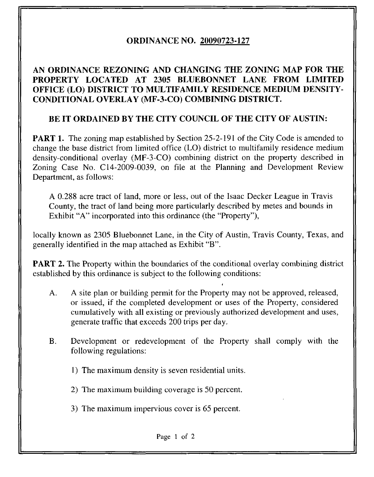# ORDINANCE NO. 20090723-127

### AN ORDINANCE REZONING AND CHANGING THE ZONING MAP FOR THE PROPERTY LOCATED AT 2305 BLUEBONNET LANE FROM LIMITED OFFICE (LO) DISTRICT TO MULTIFAMILY RESIDENCE MEDIUM DENSITY-CONDITIONAL OVERLAY (MF-3-CO) COMBINING DISTRICT.

## BE IT ORDAINED BY THE CITY COUNCIL OF THE CITY OF AUSTIN:

**PART 1.** The zoning map established by Section 25-2-191 of the City Code is amended to change the base district from limited office (LO) district to multifamily residence medium density-conditional overlay (MF-3-CO) combining district on the property described in Zoning Case No. C14-2009-0039, on file at the Planning and Development Review Department, as follows:

A 0.288 acre tract of land, more or less, out of the Isaac Decker League in Travis County, the tract of land being more particularly described by metes and bounds in Exhibit "A" incorporated into this ordinance (the "Property"),

locally known as 2305 Bluebonnet Lane, in the City of Austin, Travis County, Texas, and generally identified in the map attached as Exhibit "B".

**PART 2.** The Property within the boundaries of the conditional overlay combining district established by this ordinance is subject to the following conditions:

A. A site plan or building permit for the Property may not be approved, released, or issued, if the completed development or uses of the Property, considered cumulatively with all existing or previously authorized development and uses, generate traffic that exceeds 200 trips per day.

4

- B. Development or redevelopment of the Property shall comply with the following regulations:
	- 1) The maximum density is seven residential units.
	- 2) The maximum building coverage is 50 percent.
	- 3) The maximum impervious cover is 65 percent.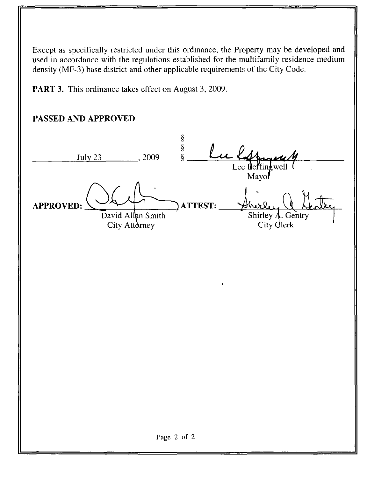Except as specifically restricted under this ordinance, the Property may be developed and used in accordance with the regulations established for the multifamily residence medium density (MF-3) base district and other applicable requirements of the City Code.

PART 3. This ordinance takes effect on August 3, 2009.

# PASSED AND APPROVED

ş  $.2009$   $-\frac{8}{8}$ July 23 Lee **N**effingwell Mayor APPROVED: ATTEST: David Allan Smith Shirley A. Gentry City Attorney City Glerk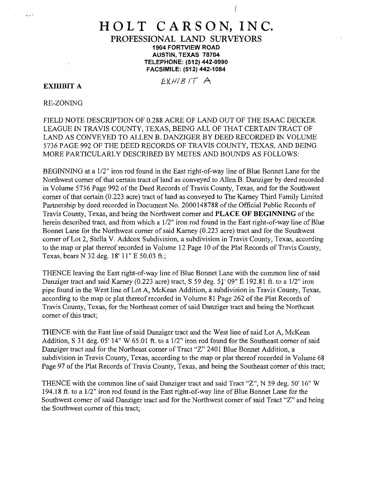#### HOLT CARSON, INC. PROFESSIONAL LAND SURVEYORS 1904 FORTVIEW ROAD AUSTIN, TEXAS 78704 TELEPHONE: (512)442-0990 FACSIMILE: (512) 442-1084

f

EXHIBIT A  $E(XH/B)T A$ 

k. Li

RE-ZONING

FIELD NOTE DESCRIPTION OF 0.288 ACRE OF LAND OUT OF THE ISAAC DECKER LEAGUE IN TRAVIS COUNTY, TEXAS, BEING ALL OF THAT CERTAIN TRACT OF LAND AS CONVEYED TO ALLEN B. DANZIGER BY DEED RECORDED IN VOLUME 5736 PAGE 992 OF THE DEED RECORDS OF TRAVIS COUNTY, TEXAS, AND BEING MORE PARTICULARLY DESCRIBED BY METES AND BOUNDS AS FOLLOWS:

BEGINNING at a 1/2" iron rod found in the East right-of-way line of Blue Bonnet Lane for the Northwest corner of that certain tract of land as conveyed to Allen B. Danziger by deed recorded in Volume 5736 Page 992 of the Deed Records of Travis County, Texas, and for the Southwest corner of that certain (0.223 acre) tract of land as conveyed to The Kamey Third Family Limited Partnership by deed recorded in Document No. 2000148788 of the Official Public Records of Travis County, Texas, and being the Northwest corner and PLACE OF BEGINNING of the herein described tract, and from which a 1/2" iron rod found in the East right-of-way line of Blue Bonnet Lane for the Northwest corner of said Karney (0.223 acre) tract and for the Southwest corner of Lot 2, Stella V. Addcox Subdivision, a subdivision in Travis County, Texas, according to the map or plat thereof recorded in Volume 12 Page 10 of the Plat Records of Travis County, Texas, bears N 32 deg. 18' 11" E 50.03 ft.;

THENCE leaving the East right-of-way line of Blue Bonnet Lane with the common line of said Danziger tract and said Karney (0.223 acre) tract, S 59 deg. 51' 09" E 192.81 ft. to a 1/2" iron pipe found in the West line of Lot A, McKean Addition, a subdivision in Travis County, Texas, according to the map or plat thereof recorded in Volume 81 Page 262 of the Plat Records of Travis County, Texas, for the Northeast corner of said Danziger tract and being the Northeast corner of this tract;

THENCE with the East line of said Danziger tract and the West line of said Lot A, McKean Addition, S 31 deg. 05' 14" W 65.01 ft. to a 1/2" iron rod found for the Southeast corner of said Danziger tract and for the Northeast corner of Tract "Z" 2401 Blue Bonnet Addition, a subdivision in Travis County, Texas, according to the map or plat thereof recorded in Volume 68 Page 97 of the Plat Records of Travis County, Texas, and being the Southeast corner of this tract;

THENCE with the common line of said Danziger tract and said Tract "Z", N 59 deg. 50' 16" W 194.18 ft. to a 1/2" iron rod found in the East right-of-way line of Blue Bonnet Lane for the Southwest corner of said Danziger tract and for the Northwest corner of said Tract "Z" and being the Southwest corner of this tract;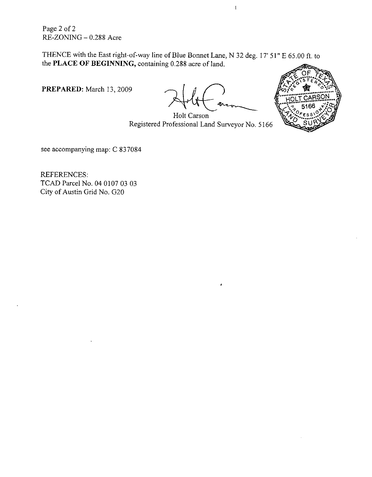Page 2 of 2 RE-ZONING - 0.288 Acre

THENCE with the East right-of-way line of Blue Bonnet Lane, N 32 deg. 17' 51" E 65.00 ft. to the PLACE OF BEGINNING, containing 0.288 acre of land.

PREPARED: March 13, 2009

 $\overline{1}$ 



Holt Carson Registered Professional Land Surveyor No. 5166

see accompanying map: C 837084

REFERENCES: TCAD Parcel No. 04 0107 03 03 City of Austin Grid No. G20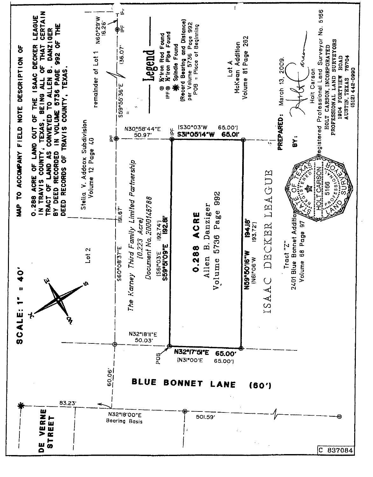